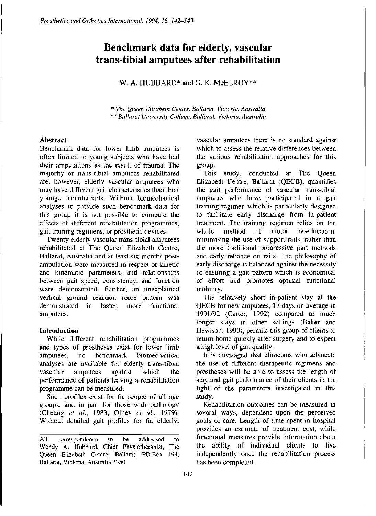# **Benchmark data for elderly, vascular trans-tibial amputees after rehabilitation**

W. A. HUBBARD<sup>\*</sup> and G. K. McELROY<sup>\*\*</sup>

*\* The Queen Elizabeth Centre, Ballarat, Victoria, Australia \*\* Ballarat University College, Ballarat, Victoria, Australia* 

## **Abstract**

Benchmark data for lower limb amputees is often limited to young subjects who have had their amputations as the result of trauma. The majority of trans-tibial amputees rehabilitated are, however, elderly vascular amputees who may have different gait characteristics than their younger counterparts. Without biomechanical analyses to provide such benchmark data for this group it is not possible to compare the effects of different rehabilitation programmes, gait training regimens, or prosthetic devices.

Twenty elderly vascular trans-tibial amputees rehabilitated at The Queen Elizabeth Centre, Ballarat, Australia and at least six months postamputation were measured in respect of kinetic and kinematic parameters, and relationships between gait speed, consistency, and function were demonstrated. Further, an unexplained vertical ground reaction force pattern was demonstrated in faster, more functional amputees.

## **Introduction**

While different rehabilitation programmes and types of prostheses exist for lower limb amputees, no benchmark biomechanical analyses are available for elderly trans-tibial vascular amputees against which the performance of patients leaving a rehabilitation programme can **be** measured.

Such profiles exist for fit people of all age groups, and in part for those with pathology (Cheung *et al.,* 1983; Olney *et al.,* 1979). Without detailed gait profiles for fit, elderly,

vascular amputees there is no standard against which to assess the relative differences between the various rehabilitation approaches for this group.

This study, conducted at The Queen Elizabeth Centre, Ballarat (QECB), quantifies the gait performance of vascular trans-tibial amputees who have participated in a gait training regimen which is particularly designed to facilitate early discharge from in-patient treatment. The training regimen relies on the whole method of motor re-education. minimising the use of support rails, rather than the more traditional progressive part methods and early reliance on rails. The philosophy of early discharge is balanced against the necessity of ensuring a gait pattern which is economical of effort and promotes optimal functional mobility.

The relatively short in-patient stay at the QECB for new amputees, 17 days on average in 1991/92 (Carter, 1992) compared to much longer stays in other settings (Baker and Hewison, 1990), permits this group of clients to return home quickly after surgery and to expect a high level of gait quality.

It is envisaged that clinicians who advocate the use of different therapeutic regimens and prostheses will be able to assess the length of stay and gait performance of their clients in the light of the parameters investigated in this study.

Rehabilitation outcomes can be measured in several ways, dependent upon the perceived goals of care. Length of time spent in hospital provides an estimate of treatment cost, while functional measures provide information about the ability of individual clients to live independently once the rehabilitation process has been completed.

All correspondence to be addressed to Wendy A. Hubbard, Chief Physiotherapist, The Queen Elizabeth Centre, Ballarat, PO Box 199, Ballarat, Victoria, Australia 3350.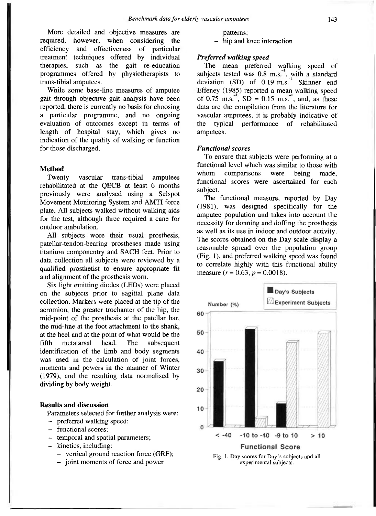More detailed and objective measures are<br>required, however, when considering the however, when considering the efficiency and effectiveness of particular treatment techniques offered by individual therapies, such as the gait re-education programmes offered by physiotherapists to trans-tibial amputees.

While some base-line measures of amputee gait through objective gait analysis have been reported, there is currently no basis for choosing a particular programme, and no ongoing evaluation of outcomes except in terms of length of hospital stay, which gives no indication of the quality of walking or function for those discharged.

#### **Method**

Twenty vascular trans-tibial amputees rehabilitated at the QECB at least 6 months previously were analysed using a Selspot Movement Monitoring System and AMTI force plate. All subjects walked without walking aids for the test, although three required a cane for outdoor ambulation.

All subjects wore their usual prosthesis, patellar-tendon-bearing prostheses made using titanium componentry and SACH feet. Prior to data collection all subjects were reviewed by a qualified prosthetist to ensure appropriate fit and alignment of the prosthesis worn.

Six light emitting diodes (LEDs) were placed on the subjects prior to sagittal plane data collection. Markers were placed at the tip of the acromion, the greater trochanter of the hip, the mid-point of the prosthesis at the patellar bar, the mid-line at the foot attachment to the shank, at the heel and at the point of what would be the fifth metatarsal head. The subsequent identification of the limb and body segments was used in the calculation of joint forces, moments and powers in the manner of Winter (1979), and the resulting data normalised by dividing by body weight.

## **Results and discussion**

Parameters selected for further analysis were:

- preferred walking speed;
- functional scores;
- temporal and spatial parameters;
- kinetics, including:
	- vertical ground reaction force (GRF);
	- joint moments of force and power

patterns;

- hip and knee interaction

## *Preferred walking speed*

The mean preferred walking speed of subjects tested was  $0.8 \text{ m.s.}^{-1}$ , with a standard deviation  $(SD)$  of  $0.19$  m.s.<sup>1</sup> Skinner end Effeney (1985) reported a mean walking speed of 0.75 m.s.<sup>-1</sup>,  $SD = 0.15$  m.s.<sup>-1</sup>, and, as these data are the compilation from the literature for vascular amputees, it is probably indicative of the typical performance of rehabilitated amputees.

### *Functional scores*

To ensure that subjects were performing at a functional level which was similar to those with whom comparisons were being made, functional scores were ascertained for each subject.

The functional measure, reported by Day (1981), was designed specifically for the amputee population and takes into account the necessity for donning and doffing the prosthesis as well as its use in indoor and outdoor activity. The scores obtained on the Day scale display a reasonable spread over the population group (Fig. 1), and preferred walking speed was found to correlate highly with this functional ability measure  $(r = 0.63, p = 0.0018)$ .



experimental subjects.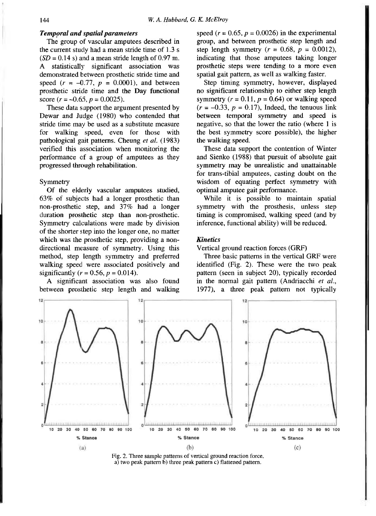#### *Temporal and spatial parameters*

The group of vascular amputees described in the current study had a mean stride time of 1.3 s  $(SD = 0.14 \text{ s})$  and a mean stride length of 0.97 m. A statistically significant association was demonstrated between prosthetic stride time and speed  $(r = -0.77, p = 0.0001)$ , and between prosthetic stride time and the Day functional score  $(r = -0.65, p = 0.0025)$ .

These data support the argument presented by Dewar and Judge (1980) who contended that stride time may be used as a substitute measure for walking speed, even for those with pathological gait patterns. Cheung *et al.* (1983) verified this association when monitoring the performance of a group of amputees as they progressed through rehabilitation.

#### Symmetry

Of the elderly vascular amputees studied, 63% of subjects had a longer prosthetic than non-prosthetic step, and 37% had a longer duration prosthetic step than non-prosthetic. Symmetry calculations were made by division of the shorter step into the longer one, no matter which was the prosthetic step, providing a nondirectional measure of symmetry. Using this method, step length symmetry and preferred walking speed were associated positively and significantly ( $r = 0.56$ ,  $p = 0.014$ ).

A significant association was also found between prosthetic step length and walking speed  $(r = 0.65, p = 0.0026)$  in the experimental group, and between prosthetic step length and step length symmetry  $(r = 0.68, p = 0.0012)$ , indicating that those amputees taking longer prosthetic steps were tending to a more even spatial gait pattern, as well as walking faster.

Step timing symmetry, however, displayed no significant relationship to either step length symmetry  $(r = 0.11, p = 0.64)$  or walking speed  $(r = -0.33, p = 0.17)$ , Indeed, the tenuous link between temporal symmetry and speed is negative, so that the lower the ratio (where  $1$  is the best symmetry score possible), the higher the walking speed.

These data support the contention of Winter and Sienko (1988) that pursuit of absolute gait symmetry may be unrealistic and unattainable for trans-tibial amputees, casting doubt on the wisdom of equating perfect symmetry with optimal amputee gait performance.

While it is possible to maintain spatial symmetry with the prosthesis, unless step timing is compromised, walking speed (and by inference, functional ability) will be reduced.

## *Kinetics*

Vertical ground reaction forces (GRF)

Three basic patterns in the vertical GRF were identified (Fig. 2). These were the two peak pattern (seen in subject 20), typically recorded in the normal gait pattern (Andriacchi *et al.,*  1977), a three peak pattern not typically



Fig. 2. Three sample patterns of vertical ground reaction force. a) two peak pattern b) three peak pattern c) flattened pattern.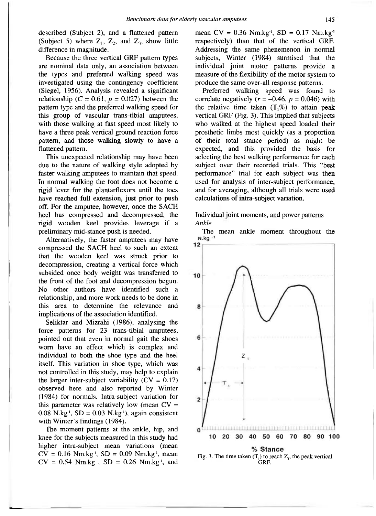described (Subject 2), and a flattened pattern (Subject 5) where  $Z_1$ ,  $Z_2$ , and  $Z_3$ , show little difference in magnitude.

Because the three vertical GRF pattern types are nominal data only, an association between the types and preferred walking speed was investigated using the contingency coefficient (Siegel, 1956). Analysis revealed a significant relationship ( $C = 0.61$ ,  $p = 0.027$ ) between the pattern type and the preferred walking speed for this group of vascular trans-tibial amputees, with those walking at fast speed most likely to have a three peak vertical ground reaction force pattern, and those walking slowly to have a flattened pattern.

This unexpected relationship may have been due to the nature of walking style adopted by faster walking amputees to maintain that speed. In normal walking the foot does not become a rigid lever for the plantarflexors until the toes have reached full extension, just prior to push off. For the amputee, however, once the SACH heel has compressed and decompressed, the rigid wooden keel provides leverage if a preliminary mid-stance push is needed.

Alternatively, the faster amputees may have compressed the SACH heel to such an extent that the wooden keel was struck prior to decompression, creating a vertical force which subsided once body weight was transferred to the front of the foot and decompression begun. No other authors have identified such a relationship, and more work needs to be done in this area to determine the relevance and implications of the association identified.

Seliktar and Mizrahi (1986), analysing the force patterns for 23 trans-tibial amputees, pointed out that even in normal gait the shoes worn have an effect which is complex and individual to both the shoe type and the heel itself. This variation in shoe type, which was not controlled in this study, may help to explain the larger inter-subject variability  $(CV = 0.17)$ observed here and also reported by Winter (1984) for normals. Intra-subject variation for this parameter was relatively low (mean  $CV =$  $0.08$  N.kg<sup>-1</sup>, SD =  $0.03$  N.kg<sup>-1</sup>), again consistent with Winter's findings (1984).

The moment patterns at the ankle, hip, and knee for the subjects measured in this study had higher intra-subject mean variations (mean  $CV = 0.16$  Nm.kg<sup>-1</sup>, SD = 0.09 Nm.kg<sup>-1</sup>, mean  $CV = 0.54$  Nm.kg<sup>-1</sup>, SD = 0.26 Nm.kg<sup>-1</sup>, and

mean  $CV = 0.36$  Nm.kg<sup>-1</sup>, SD = 0.17 Nm.kg<sup>-1</sup> respectively) than that of the vertical GRF. Addressing the same phenemenon in normal subjects, Winter (1984) surmised that the individual joint motor patterns provide a measure of the flexibility of the motor system to produce the same over-all response patterns.

Preferred walking speed was found to correlate negatively  $(r = -0.46, p = 0.046)$  with the relative time taken  $(T, \%)$  to attain peak vertical GRF (Fig. 3). This implied that subjects who walked at the highest speed loaded their prosthetic limbs most quickly (as a proportion of their total stance period) as might be expected, and this provided the basis for selecting the best walking performance for each subject over their recorded trials. This "best performance" trial for each subject was then used for analysis of inter-subject performance, and for averaging, although all trials were used calculations of intra-subject variation.

## Individual joint moments, and power patterns *Ankle*

The mean ankle moment throughout the  $N.kg$ 



GRF.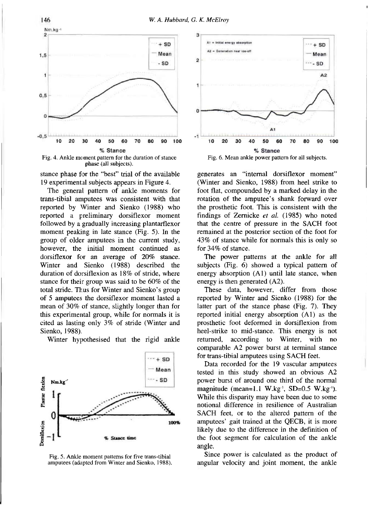

stance phase for the "best" trial of the available

19 experimental subjects appears in Figure 4.

The general pattern of ankle moments for trans-tibial amputees was consistent with that reported by Winter and Sienko (1988) who reported a preliminary dorsiflexor moment followed by a gradually increasing plantarflexor moment peaking in late stance (Fig. 5). In the group of older amputees in the current study, however, the initial moment continued as dorsiflexor for an average of 20% stance. Winter and Sienko (1988) described the duration of dorsiflexion as 18% of stride, where stance for their group was said to be 60% of the total stride. Thus for Winter and Sienko's group of 5 amputees the dorsiflexor moment lasted a mean of 30% of stance, slightly longer than for this experimental group, while for normals it is cited as lasting only 3% of stride (Winter and Sienko, 1988).

Winter hypothesised that the rigid ankle



Fig. 5. Ankle moment patterns for five trans-tibial amputees (adapted from Winter and Sienko, 1988).



generates an "internal dorsiflexor moment" (Winter and Sienko, 1988) from heel strike to foot flat, compounded by a marked delay in the rotation of the amputee's shank forward over the prosthetic foot. This is consistent with the findings of Zernicke *et al.* (1985) who noted that the centre of pressure in the SACH foot remained at the posterior section of the foot for 43% of stance while for normals this is only so for 34% of stance.

The power patterns at the ankle for all subjects (Fig. 6) showed a typical pattern of energy absorption (A1) until late stance, when energy is then generated (A2).

These data, however, differ from those reported by Winter and Sienko (1988) for the latter part of the stance phase (Fig. 7). They reported initial energy absorption (Al) as the prosthetic foot deformed in dorsiflexion from heel-strike to mid-stance. This energy is not returned, according to Winter, with no comparable A2 power burst at terminal stance for trans-tibial amputees using SACH feet.

Data recorded for the 19 vascular amputees tested in this study showed an obvious A2 power burst of around one third of the normal magnitude (mean=1.1 W.kg<sup>-1</sup>, SD=0.5 W.kg<sup>-1</sup>). While this disparity may have been due to some notional difference in resilience of Australian SACH feet, or to the altered pattern of the amputees' gait trained at the QECB, it is more likely due to the difference in the definition of the foot segment for calculation of the ankle angle.

Since power is calculated as the product of angular velocity and joint moment, the ankle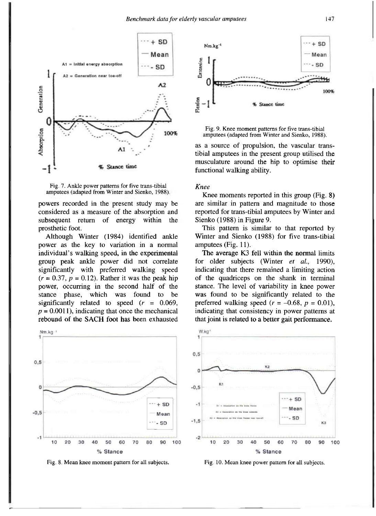



powers recorded in the present study may be considered as a measure of the absorption and subsequent return of energy within the prosthetic foot.

Although Winter (1984) identified ankle power as the key to variation in a normal individual's walking speed, in the experimental group peak ankle power did not correlate significantly with preferred walking speed  $(r = 0.37, p = 0.12)$ . Rather it was the peak hip power, occurring in the second half of the stance phase, which was found to be significantly related to speed *(r* = 0.069,  $p = 0.0011$ , indicating that once the mechanical rebound of the SACH foot has been exhausted



Fig. 8. Mean knee moment pattern for all subjects.





as a source of propulsion, the vascular transtibial amputees in the present group utilised the musculature around the hip to optimise their functional walking ability.

## *Knee*

Knee moments reported in this group (Fig. 8) are similar in pattern and magnitude to those reported for trans-tibial amputees by Winter and Sienko (1988) in Figure 9.

This pattern is similar to that reported by Winter and Sienko (1988) for five trans-tibial amputees (Fig. 11).

The average K3 fell within the normal limits for older subjects (Winter *et al.,* 1990), indicating that there remained a limiting action of the quadriceps on the shank in terminal stance. The level of variability in knee power was found to be significantly related to the preferred walking speed  $(r = -0.68, p = 0.01)$ , indicating that consistency in power patterns at that joint is related to a better gait performance.



Fig. 10. Mean knee power pattern for all subjects.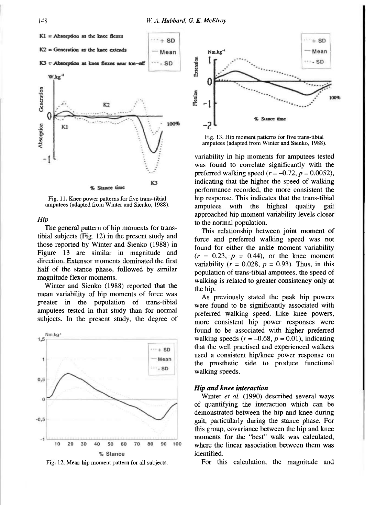

Fig. 11. Knee power patterns for five trans-tibial amputees (adapted from Winter and Sienko, 1988).

#### *Hip*

The general pattern of hip moments for transtibial subjects (Fig. 12) in the present study and those reported by Winter and Sienko (1988) in Figure 13 are similar in magnitude and direction. Extensor moments dominated the first half of the stance phase, followed by similar magnitude flexor moments.

Winter and Sienko (1988) reported that the mean variability of hip moments of force was greater in the population of trans-tibial amputees tested in that study than for normal subjects. In the present study, the degree of



Fig. 12. Mean hip moment pattern for all subjects.



Fig. 13. Hip moment patterns for five trans-tibial amputees (adapted from Winter and Sienko, 1988).

variability in hip moments for amputees tested was found to correlate significantly with the preferred walking speed  $(r = -0.72, p = 0.0052)$ , indicating that the higher the speed of walking performance recorded, the more consistent the hip response. This indicates that the trans-tibial amputees with the highest quality gait approached hip moment variability levels closer to the normal population.

This relationship between joint moment of force and preferred walking speed was not found for either the ankle moment variability  $(r = 0.23, p = 0.44)$ , or the knee moment variability  $(r = 0.028, p = 0.93)$ . Thus, in this population of trans-tibial amputees, the speed of walking is related to greater consistency only at the hip.

As previously stated the peak hip powers were found to be significantly associated with preferred walking speed. Like knee powers, more consistent hip power responses were found to be associated with higher preferred walking speeds  $(r = -0.68, p = 0.01)$ , indicating that the well practised and experienced walkers used a consistent hip/knee power response on the prosthetic side to produce functional walking speeds.

### *Hip and knee interaction*

Winter *et al.* (1990) described several ways of quantifying the interaction which can be demonstrated between the hip and knee during gait, particularly during the stance phase. For this group, covariance between the hip and knee moments for the "best" walk was calculated, where the linear association between them was identified.

For this calculation, the magnitude and